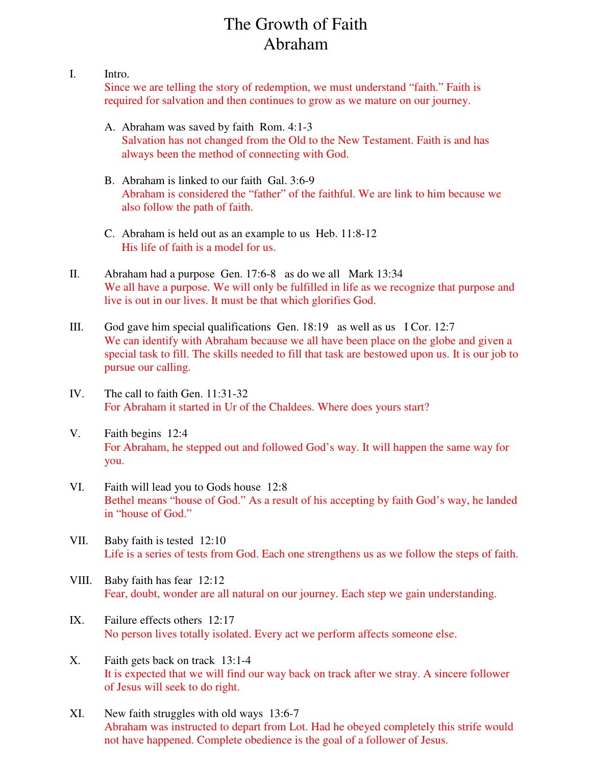## The Growth of Faith Abraham

## I. Intro.

Since we are telling the story of redemption, we must understand "faith." Faith is required for salvation and then continues to grow as we mature on our journey.

- A. Abraham was saved by faith Rom. 4:1-3 Salvation has not changed from the Old to the New Testament. Faith is and has always been the method of connecting with God.
- B. Abraham is linked to our faith Gal. 3:6-9 Abraham is considered the "father" of the faithful. We are link to him because we also follow the path of faith.
- C. Abraham is held out as an example to us Heb. 11:8-12 His life of faith is a model for us.
- II. Abraham had a purpose Gen. 17:6-8 as do we all Mark 13:34 We all have a purpose. We will only be fulfilled in life as we recognize that purpose and live is out in our lives. It must be that which glorifies God.
- III. God gave him special qualifications Gen. 18:19 as well as us I Cor. 12:7 We can identify with Abraham because we all have been place on the globe and given a special task to fill. The skills needed to fill that task are bestowed upon us. It is our job to pursue our calling.
- IV. The call to faith Gen. 11:31-32 For Abraham it started in Ur of the Chaldees. Where does yours start?
- V. Faith begins 12:4 For Abraham, he stepped out and followed God's way. It will happen the same way for you.
- VI. Faith will lead you to Gods house 12:8 Bethel means "house of God." As a result of his accepting by faith God's way, he landed in "house of God."
- VII. Baby faith is tested 12:10 Life is a series of tests from God. Each one strengthens us as we follow the steps of faith.
- VIII. Baby faith has fear 12:12 Fear, doubt, wonder are all natural on our journey. Each step we gain understanding.
- IX. Failure effects others 12:17 No person lives totally isolated. Every act we perform affects someone else.
- X. Faith gets back on track 13:1-4 It is expected that we will find our way back on track after we stray. A sincere follower of Jesus will seek to do right.
- XI. New faith struggles with old ways 13:6-7 Abraham was instructed to depart from Lot. Had he obeyed completely this strife would not have happened. Complete obedience is the goal of a follower of Jesus.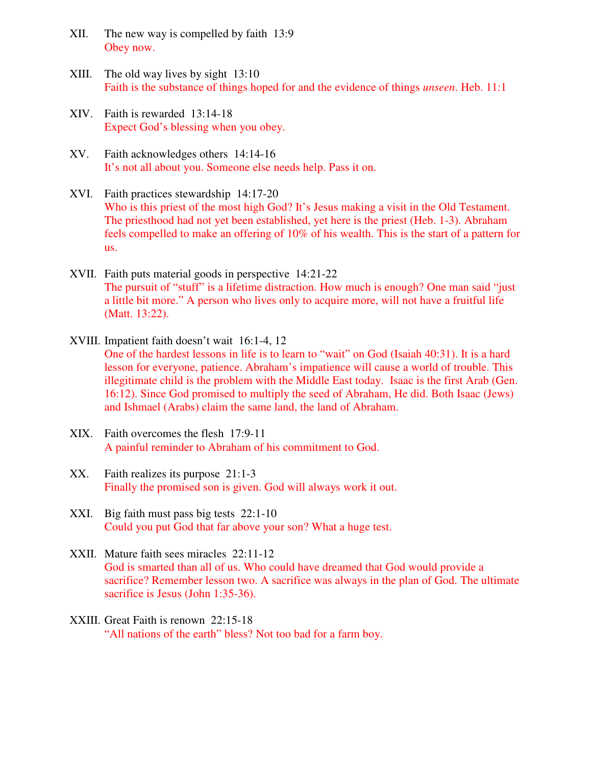- XII. The new way is compelled by faith 13:9 Obey now.
- XIII. The old way lives by sight 13:10 Faith is the substance of things hoped for and the evidence of things *unseen*. Heb. 11:1
- XIV. Faith is rewarded 13:14-18 Expect God's blessing when you obey.
- XV. Faith acknowledges others 14:14-16 It's not all about you. Someone else needs help. Pass it on.
- XVI. Faith practices stewardship 14:17-20 Who is this priest of the most high God? It's Jesus making a visit in the Old Testament. The priesthood had not yet been established, yet here is the priest (Heb. 1-3). Abraham feels compelled to make an offering of 10% of his wealth. This is the start of a pattern for us.
- XVII. Faith puts material goods in perspective 14:21-22 The pursuit of "stuff" is a lifetime distraction. How much is enough? One man said "just a little bit more." A person who lives only to acquire more, will not have a fruitful life (Matt. 13:22).
- XVIII. Impatient faith doesn't wait 16:1-4, 12 One of the hardest lessons in life is to learn to "wait" on God (Isaiah 40:31). It is a hard lesson for everyone, patience. Abraham's impatience will cause a world of trouble. This illegitimate child is the problem with the Middle East today. Isaac is the first Arab (Gen. 16:12). Since God promised to multiply the seed of Abraham, He did. Both Isaac (Jews) and Ishmael (Arabs) claim the same land, the land of Abraham.
- XIX. Faith overcomes the flesh 17:9-11 A painful reminder to Abraham of his commitment to God.
- XX. Faith realizes its purpose 21:1-3 Finally the promised son is given. God will always work it out.
- XXI. Big faith must pass big tests 22:1-10 Could you put God that far above your son? What a huge test.
- XXII. Mature faith sees miracles 22:11-12 God is smarted than all of us. Who could have dreamed that God would provide a sacrifice? Remember lesson two. A sacrifice was always in the plan of God. The ultimate sacrifice is Jesus (John 1:35-36).
- XXIII. Great Faith is renown 22:15-18 "All nations of the earth" bless? Not too bad for a farm boy.